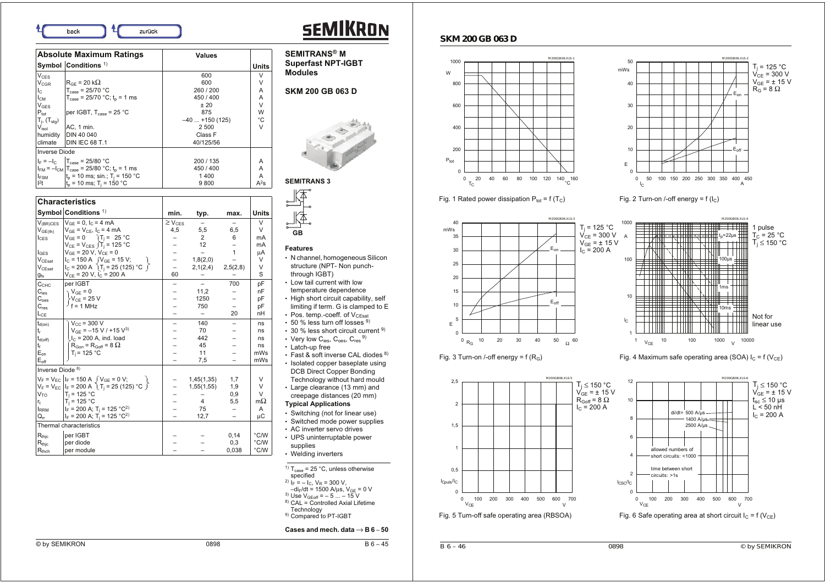back zurück

| <b>Absolute Maximum Ratings</b> |                                                              | <b>Values</b>    |              |
|---------------------------------|--------------------------------------------------------------|------------------|--------------|
|                                 | Symbol Conditions <sup>1)</sup>                              |                  | <b>Units</b> |
| V <sub>CFS</sub>                |                                                              | 600              | v            |
| $V_{CGR}$                       | $R_{GF}$ = 20 k $\Omega$                                     | 600              | ٧            |
| $I_{\rm C}$                     | $T_{\text{case}} = 25/70$ °C                                 | 260/200          | A            |
| $I_{CM}$                        | $T_{\text{case}} = 25/70 \text{ °C}$ ; t <sub>n</sub> = 1 ms | 450 / 400        | A            |
| <b>V<sub>GES</sub></b>          |                                                              | ±20              | V            |
| $P_{\text{tot}}$                | per IGBT, $T_{case} = 25 °C$                                 | 875              | W            |
| $T_i$ , $(T_{\text{stg}})$      |                                                              | $-40$ +150 (125) | °C           |
| $V_{\mathsf{isol}}$             | AC, 1 min.                                                   | 2 500            | V            |
| humidity                        | <b>DIN 40 040</b>                                            | Class F          |              |
| climate                         | <b>DIN IEC 68 T.1</b>                                        | 40/125/56        |              |
| <b>Inverse Diode</b>            |                                                              |                  |              |
|                                 | $I_F = -I_C$   $T_{case} = 25/80 °C$                         | 200 / 135        | A            |
|                                 | $I_{FM} = -I_{CM}$ $T_{case} = 25/80$ °C; $t_0 = 1$ ms       | 450 / 400        | A            |
| <b>I</b> FSM                    | $t_0$ = 10 ms; sin.; T <sub>i</sub> = 150 °C                 | 1400             | Α            |
| $l^2t$                          | $t_0$ = 10 ms; T <sub>i</sub> = 150 °C                       | 9800             | $A^2s$       |

|                               | <b>Characteristics</b>                                               |                         |                          |              |               |
|-------------------------------|----------------------------------------------------------------------|-------------------------|--------------------------|--------------|---------------|
|                               | Symbol Conditions <sup>1)</sup>                                      | min.                    | typ.                     | max.         | <b>Units</b>  |
| $V_{(BR)CES}$                 | $V_{GF} = 0$ , $I_C = 4$ mA                                          | $\geq$ V <sub>CES</sub> | $\overline{\phantom{m}}$ |              | $\vee$        |
| $V_{GE(th)}$                  | $V_{GE} = V_{CE}$ , $I_C = 4$ mA                                     | 4,5                     | 5,5                      | 6,5          | V             |
| $I_{CES}$                     | $V_{GF} = 0$ T <sub>i</sub> = 25 °C                                  |                         | 2                        | 6            | mA            |
|                               | $V_{CE} = V_{CES}$ $T_i = 125 °C$                                    |                         | 12                       |              | mA            |
| $I_{\text{GES}}$              | $V_{GE}$ = 20 V, $V_{CE}$ = 0                                        |                         |                          | $\mathbf{1}$ | μA            |
| $\mathsf{V}_{\mathsf{CEsat}}$ | $I_C = 150 A$ $(V_{GE} = 15 V;$                                      |                         | 1,8(2,0)                 |              | V             |
| $V_{CEsat}$                   | $I_C = 200 \text{ A}$ (T <sub>i</sub> = 25 (125) °C $\int$           |                         | 2,1(2,4)                 | 2,5(2,8)     | V             |
| $g_{fs}$                      | $V_{CE}$ = 20 V, $I_C$ = 200 A                                       | 60                      |                          |              | S             |
| $\mathsf{C}_{\mathsf{CHC}}$   | per IGBT                                                             |                         |                          | 700          | рF            |
| $C_{\text{ies}}$              | $V_{GF} = 0$                                                         |                         | 11,2                     |              | nF            |
| $C_{\rm {oes}}$               | $V_{CE} = 25 V$                                                      |                         | 1250                     |              | pF            |
| $C_{res}$                     | $f = 1$ MHz                                                          |                         | 750                      |              | рF            |
| $L_{CE}$                      |                                                                      |                         |                          | 20           | nH            |
| $t_{d(on)}$                   | $V_{\text{CC}}$ = 300 V                                              |                         | 140                      |              | ns            |
| $t_r$                         | $V_{GF}$ = -15 V / +15 V <sup>3</sup>                                |                         | 70                       |              | ns            |
| $t_{d(\text{off})}$           | $IC$ = 200 A, ind. load                                              |                         | 442                      |              | ns            |
| tғ                            | $R_{Gon}$ = $R_{Goff}$ = 8 $\Omega$                                  |                         | 45                       |              | ns            |
| $E_{on}$                      | $T_i = 125 °C$                                                       |                         | 11                       |              | mWs           |
| $E_{\text{off}}$              |                                                                      |                         | 7,5                      |              | mWs           |
| Inverse Diode <sup>8)</sup>   |                                                                      |                         |                          |              |               |
|                               | $V_F = V_{EC}$ $I_F = 150$ A $\int V_{GE} = 0$ V;                    |                         | 1,45(1,35)               | 1,7          | $\vee$        |
|                               | $V_F = V_{EC}$   $V_F = 200 \text{ A}$   $T_j = 25 (125) \text{ °C}$ |                         | 1,55(1,55)               | 1,9          | V             |
| $V_{TO}$                      | $T_i = 125 °C$                                                       |                         |                          | 0,9          | V             |
| $r_{\rm{f}}$                  | $T_i = 125 °C$                                                       |                         | $\overline{4}$           | 5,5          | mΩ            |
| <b>IRRM</b>                   | $I_F$ = 200 A; T <sub>i</sub> = 125 °C <sup>2</sup> )                |                         | 75                       | -            | A             |
| $Q_{rr}$                      | $I_F$ = 200 A; T <sub>i</sub> = 125 °C <sup>2)</sup>                 |                         | 12,7                     |              | μC            |
| Thermal characteristics       |                                                                      |                         |                          |              |               |
| $\mathsf{R}_{\mathsf{thjc}}$  | per IGBT                                                             |                         |                          | 0,14         | °C/W          |
| $\mathsf{R}_{\mathsf{thjc}}$  | per diode                                                            |                         |                          | 0,3          | °C/W          |
| $R_{thch}$                    | per module                                                           |                         |                          | 0,038        | $\degree$ C/W |



**SEMITRANS® M Superfast NPT-IGBT Modules**

## **SKM 200 GB 063 D**



## **SEMITRANS 3**

州 **GB**

#### **Features**

- N channel, homogeneous Silicon structure (NPT- Non punchthrough IGBT)
- Low tail current with low temperature dependence
- High short circuit capability, self limiting if term. G is clamped to E
- Pos. temp.-coeff. of  $\rm V_{\rm CEsat}$
- $\bm{\cdot}$  50 % less turn off losses  $^{9)}$
- 30 % less short circuit current <sup>9)</sup>
- Very low C<sub>ies</sub>, C<sub>oes</sub>, C<sub>res</sub>  $9$ • Latch-up free
- Fast & soft inverse CAL diodes  $^{8)}$ • Isolated copper baseplate using DCB Direct Copper Bonding
- Technology without hard mould • Large clearance (13 mm) and
- creepage distances (20 mm)

## **Typical Applications**

- Switching (not for linear use)
- Switched mode power supplies
- AC inverter servo drives
- UPS uninterruptable power supplies
- Welding inverters

#### <sup>1)</sup>  $T_{case}$  = 25 °C, unless otherwise

- specified
- <sup>2)</sup> I<sub>F</sub> = I<sub>C</sub>, V<sub>R</sub> = 300 V,<br>-di<sub>F</sub>/dt = 1500 A/µs, V<sub>GE</sub> = 0 V
- 
- <sup>3)</sup> Use V<sub>GEoff</sub> = 5 ... 15 V<br><sup>8)</sup> CAL = Controlled Axial Lifetime
- 
- Technology 9) Compared to PT-IGBT

#### Cases and mech. data  $\rightarrow$  B 6 – 50



### **SKM 200 GB 063 D**





M200GB 06.XLS-2

 $T_i = 125 °C$  $V_{CE} = 300 \text{ V}$ 



50

mWs





 $0 \text{ R}_\text{G}$  10 20 30 40 50  $\text{O}$  60

0 100 200 300 400 500 600 700<br>V<sub>CE</sub> v

 $M200$ GB  $M255$ 

M200GB 06.XLS-3

Eon

 $E_{\alpha}$ 

Fig. 3 Turn-on /-off energy = f  $(R_G)$  Fig. 4 Maximum safe operating area (SOA)  $I_C = f(V_{CF})$ 



0,5

ICpuls/IC

1

1,5

2

2,5

E

mWs

 $\overline{\odot}$  by SEMIKRON B 6 – 45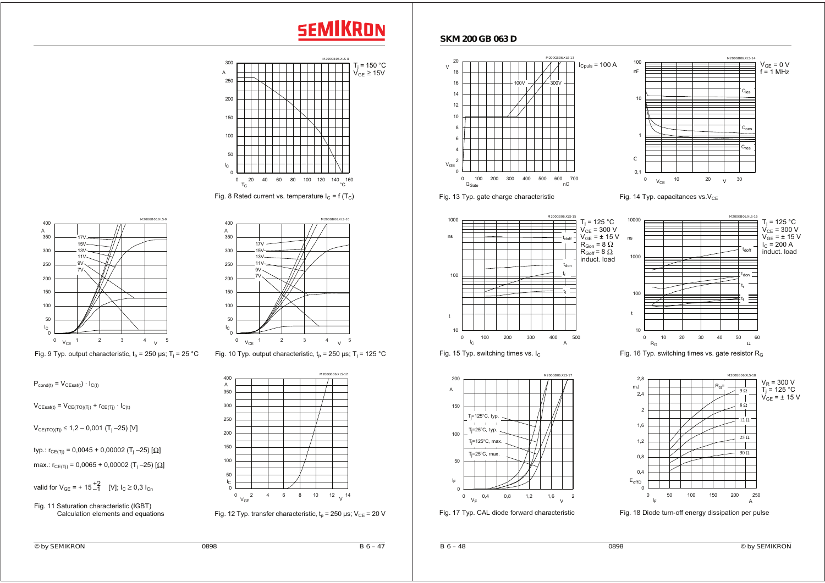# **SEMIKRON**



Fig. 8 Rated current vs. temperature  $I_C = f(T_C)$ 





Fig. 9 Typ. output characteristic,  $t_0 = 250 \,\mu s$ ; T<sub>i</sub> = 25 °C Fig. 10 Typ. output characteristic,  $t_0 = 250 \,\mu s$ ; T<sub>i</sub> = 125 °C

 $P_{\text{cond}(t)} = V_{\text{CEsatt}(t)} \cdot I_{\text{C}(t)}$ 

 $V_{CEsat(t)} = V_{CE(TO)(Tj)} + r_{CE(Tj)} \cdot I_{C(t)}$ 

 $V_{C E(TO)(Ti)} \le 1,2 - 0,001$  (T<sub>i</sub> –25) [V]

typ.:  $r_{C>E(Ti)} = 0,0045 + 0,00002$  (T<sub>i</sub> –25) [Ω]

max.:  $r_{CE(Ti)} = 0,0065 + 0,00002$  (T<sub>i</sub> –25) [ $\Omega$ ]

valid for V<sub>GE</sub> = + 15  $^{+2}_{-1}$  [V]; I<sub>C</sub>  $\geq$  0,3 I<sub>Cn</sub>





Fig. 12 Typ. transfer characteristic,  $t_p = 250$  μs; V<sub>CE</sub> = 20 V





Fig. 13 Typ. gate charge characteristic Fig. 14 Typ. capacitances vs. $V_{CE}$ 





 $\mathsf{C}_\mathsf{ies}$ 

V<sub>GE</sub> = 0 V<br>f = 1 MHz

 $\mathtt{C_{oes}}$ 

 $\mathtt{C_{res}}$ 



Fig. 15 Typ. switching times vs.  $I_c$  Fig. 16 Typ. switching times vs. gate resistor R<sub>G</sub>



Fig. 17 Typ. CAL diode forward characteristic Fig. 18 Diode turn-off energy dissipation per pulse